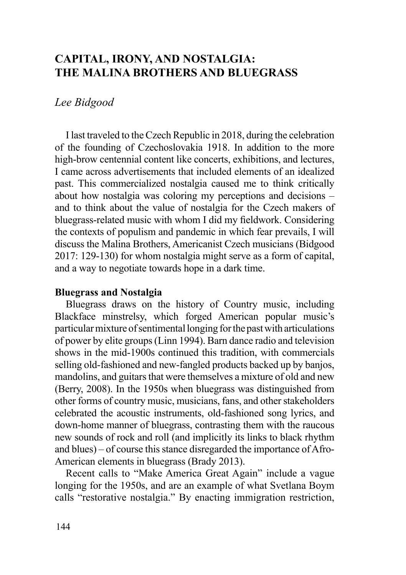# **CAPITAL, IRONY, AND NOSTALGIA: THE MALINA BROTHERS AND BLUEGRASS**

## *Lee Bidgood*

I last traveled to the Czech Republic in 2018, during the celebration of the founding of Czechoslovakia 1918. In addition to the more high-brow centennial content like concerts, exhibitions, and lectures, I came across advertisements that included elements of an idealized past. This commercialized nostalgia caused me to think critically about how nostalgia was coloring my perceptions and decisions – and to think about the value of nostalgia for the Czech makers of bluegrass-related music with whom I did my fieldwork. Considering the contexts of populism and pandemic in which fear prevails, I will discuss the Malina Brothers, Americanist Czech musicians (Bidgood 2017: 129-130) for whom nostalgia might serve as a form of capital, and a way to negotiate towards hope in a dark time.

### **Bluegrass and Nostalgia**

Bluegrass draws on the history of Country music, including Blackface minstrelsy, which forged American popular music's particular mixture of sentimental longing for the past with articulations of power by elite groups (Linn 1994). Barn dance radio and television shows in the mid-1900s continued this tradition, with commercials selling old-fashioned and new-fangled products backed up by banjos, mandolins, and guitars that were themselves a mixture of old and new (Berry, 2008). In the 1950s when bluegrass was distinguished from other forms of country music, musicians, fans, and other stakeholders celebrated the acoustic instruments, old-fashioned song lyrics, and down-home manner of bluegrass, contrasting them with the raucous new sounds of rock and roll (and implicitly its links to black rhythm and blues) – of course this stance disregarded the importance of Afro-American elements in bluegrass (Brady 2013).

Recent calls to "Make America Great Again" include a vague longing for the 1950s, and are an example of what Svetlana Boym calls "restorative nostalgia." By enacting immigration restriction,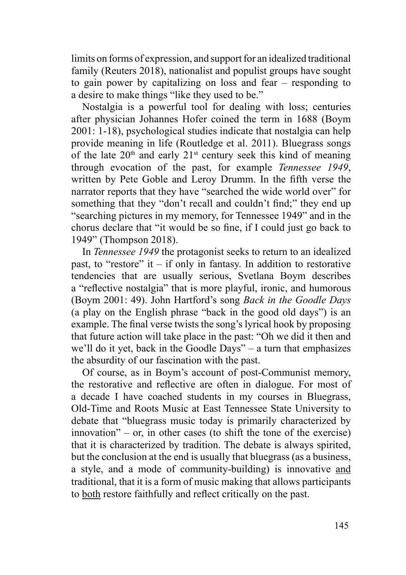limits on forms of expression, and support for an idealized traditional family (Reuters 2018), nationalist and populist groups have sought to gain power by capitalizing on loss and fear – responding to a desire to make things "like they used to be."

Nostalgia is a powerful tool for dealing with loss; centuries after physician Johannes Hofer coined the term in 1688 (Boym 2001: 1-18), psychological studies indicate that nostalgia can help provide meaning in life (Routledge et al. 2011). Bluegrass songs of the late  $20<sup>th</sup>$  and early  $21<sup>st</sup>$  century seek this kind of meaning through evocation of the past, for example *Tennessee 1949*, written by Pete Goble and Leroy Drumm. In the fifth verse the narrator reports that they have "searched the wide world over" for something that they "don't recall and couldn't find;" they end up "searching pictures in my memory, for Tennessee 1949" and in the chorus declare that "it would be so fine, if I could just go back to 1949" (Thompson 2018).

In *Tennessee 1949* the protagonist seeks to return to an idealized past, to "restore" it – if only in fantasy. In addition to restorative tendencies that are usually serious, Svetlana Boym describes a "reflective nostalgia" that is more playful, ironic, and humorous (Boym 2001: 49). John Hartford's song *Back in the Goodle Days* (a play on the English phrase "back in the good old days") is an example. The final verse twists the song's lyrical hook by proposing that future action will take place in the past: "Oh we did it then and we'll do it yet, back in the Goodle Days" – a turn that emphasizes the absurdity of our fascination with the past.

Of course, as in Boym's account of post-Communist memory, the restorative and reflective are often in dialogue. For most of a decade I have coached students in my courses in Bluegrass, Old-Time and Roots Music at East Tennessee State University to debate that "bluegrass music today is primarily characterized by innovation" – or, in other cases (to shift the tone of the exercise) that it is characterized by tradition. The debate is always spirited, but the conclusion at the end is usually that bluegrass (as a business, a style, and a mode of community-building) is innovative and traditional, that it is a form of music making that allows participants to both restore faithfully and reflect critically on the past.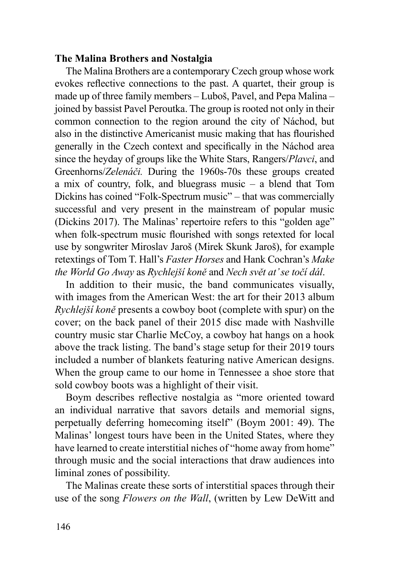### **The Malina Brothers and Nostalgia**

The Malina Brothers are a contemporary Czech group whose work evokes reflective connections to the past. A quartet, their group is made up of three family members – Luboš, Pavel, and Pepa Malina – joined by bassist Pavel Peroutka. The group is rooted not only in their common connection to the region around the city of Náchod, but also in the distinctive Americanist music making that has flourished generally in the Czech context and specifically in the Náchod area since the heyday of groups like the White Stars, Rangers/*Plavci*, and Greenhorns/*Zelenáči.* During the 1960s-70s these groups created a mix of country, folk, and bluegrass music – a blend that Tom Dickins has coined "Folk-Spectrum music" – that was commercially successful and very present in the mainstream of popular music (Dickins 2017). The Malinas' repertoire refers to this "golden age" when folk-spectrum music flourished with songs retexted for local use by songwriter Miroslav Jaroš (Mirek Skunk Jaroš), for example retextings of Tom T. Hall's *Faster Horses* and Hank Cochran's *Make the World Go Away* as *Rychlejší koně* and *Nech svět at' se točí dál*.

In addition to their music, the band communicates visually, with images from the American West: the art for their 2013 album *Rychlejší koně* presents a cowboy boot (complete with spur) on the cover; on the back panel of their 2015 disc made with Nashville country music star Charlie McCoy, a cowboy hat hangs on a hook above the track listing. The band's stage setup for their 2019 tours included a number of blankets featuring native American designs. When the group came to our home in Tennessee a shoe store that sold cowboy boots was a highlight of their visit.

Boym describes reflective nostalgia as "more oriented toward an individual narrative that savors details and memorial signs, perpetually deferring homecoming itself" (Boym 2001: 49). The Malinas' longest tours have been in the United States, where they have learned to create interstitial niches of "home away from home" through music and the social interactions that draw audiences into liminal zones of possibility.

The Malinas create these sorts of interstitial spaces through their use of the song *Flowers on the Wall*, (written by Lew DeWitt and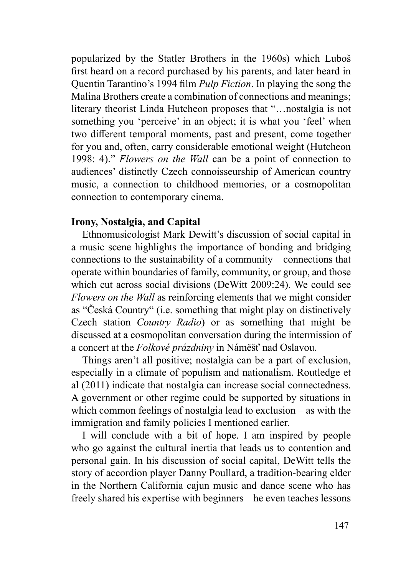popularized by the Statler Brothers in the 1960s) which Luboš first heard on a record purchased by his parents, and later heard in Quentin Tarantino's 1994 film *Pulp Fiction*. In playing the song the Malina Brothers create a combination of connections and meanings; literary theorist Linda Hutcheon proposes that "…nostalgia is not something you 'perceive' in an object; it is what you 'feel' when two different temporal moments, past and present, come together for you and, often, carry considerable emotional weight (Hutcheon 1998: 4)." *Flowers on the Wall* can be a point of connection to audiences' distinctly Czech connoisseurship of American country music, a connection to childhood memories, or a cosmopolitan connection to contemporary cinema.

### **Irony, Nostalgia, and Capital**

Ethnomusicologist Mark Dewitt's discussion of social capital in a music scene highlights the importance of bonding and bridging connections to the sustainability of a community – connections that operate within boundaries of family, community, or group, and those which cut across social divisions (DeWitt 2009:24). We could see *Flowers on the Wall* as reinforcing elements that we might consider as "Česká Country" (i.e. something that might play on distinctively Czech station *Country Radio*) or as something that might be discussed at a cosmopolitan conversation during the intermission of a concert at the *Folkové prázdniny* in Náměšť nad Oslavou.

Things aren't all positive; nostalgia can be a part of exclusion, especially in a climate of populism and nationalism. Routledge et al (2011) indicate that nostalgia can increase social connectedness. A government or other regime could be supported by situations in which common feelings of nostalgia lead to exclusion – as with the immigration and family policies I mentioned earlier.

I will conclude with a bit of hope. I am inspired by people who go against the cultural inertia that leads us to contention and personal gain. In his discussion of social capital, DeWitt tells the story of accordion player Danny Poullard, a tradition-bearing elder in the Northern California cajun music and dance scene who has freely shared his expertise with beginners – he even teaches lessons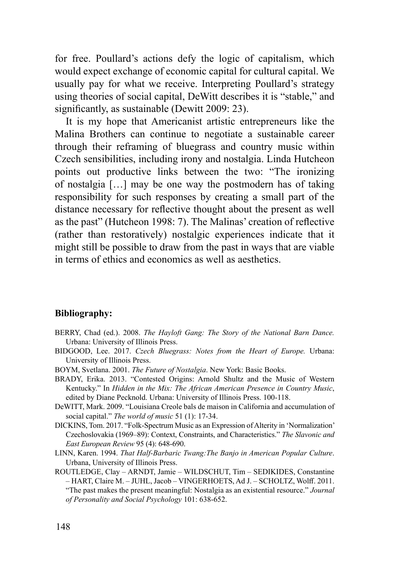for free. Poullard's actions defy the logic of capitalism, which would expect exchange of economic capital for cultural capital. We usually pay for what we receive. Interpreting Poullard's strategy using theories of social capital, DeWitt describes it is "stable," and significantly, as sustainable (Dewitt 2009: 23).

It is my hope that Americanist artistic entrepreneurs like the Malina Brothers can continue to negotiate a sustainable career through their reframing of bluegrass and country music within Czech sensibilities, including irony and nostalgia. Linda Hutcheon points out productive links between the two: "The ironizing of nostalgia […] may be one way the postmodern has of taking responsibility for such responses by creating a small part of the distance necessary for reflective thought about the present as well as the past" (Hutcheon 1998: 7). The Malinas' creation of reflective (rather than restoratively) nostalgic experiences indicate that it might still be possible to draw from the past in ways that are viable in terms of ethics and economics as well as aesthetics.

### **Bibliography:**

- BERRY, Chad (ed.). 2008. *The Hayloft Gang: The Story of the National Barn Dance.*  Urbana: University of Illinois Press.
- BIDGOOD, Lee. 2017. *Czech Bluegrass: Notes from the Heart of Europe.* Urbana: University of Illinois Press.
- BOYM, Svetlana. 2001. *The Future of Nostalgia*. New York: Basic Books.
- BRADY, Erika. 2013. "Contested Origins: Arnold Shultz and the Music of Western Kentucky." In *Hidden in the Mix: The African American Presence in Country Music*, edited by Diane Pecknold. Urbana: University of Illinois Press. 100-118.
- DeWITT, Mark. 2009. "Louisiana Creole bals de maison in California and accumulation of social capital." *The world of music* 51 (1): 17-34.
- DICKINS, Tom. 2017. "Folk-Spectrum Music as an Expression of Alterity in 'Normalization' Czechoslovakia (1969–89): Context, Constraints, and Characteristics." *The Slavonic and East European Review* 95 (4): 648-690.
- LINN, Karen. 1994. *That Half-Barbaric Twang:The Banjo in American Popular Culture*. Urbana, University of Illinois Press.
- ROUTLEDGE, Clay ARNDT, Jamie WILDSCHUT, Tim SEDIKIDES, Constantine – HART, Claire M. – JUHL, Jacob – VINGERHOETS, Ad J. – SCHOLTZ, Wolff. 2011. "The past makes the present meaningful: Nostalgia as an existential resource." *Journal of Personality and Social Psychology* 101: 638-652.